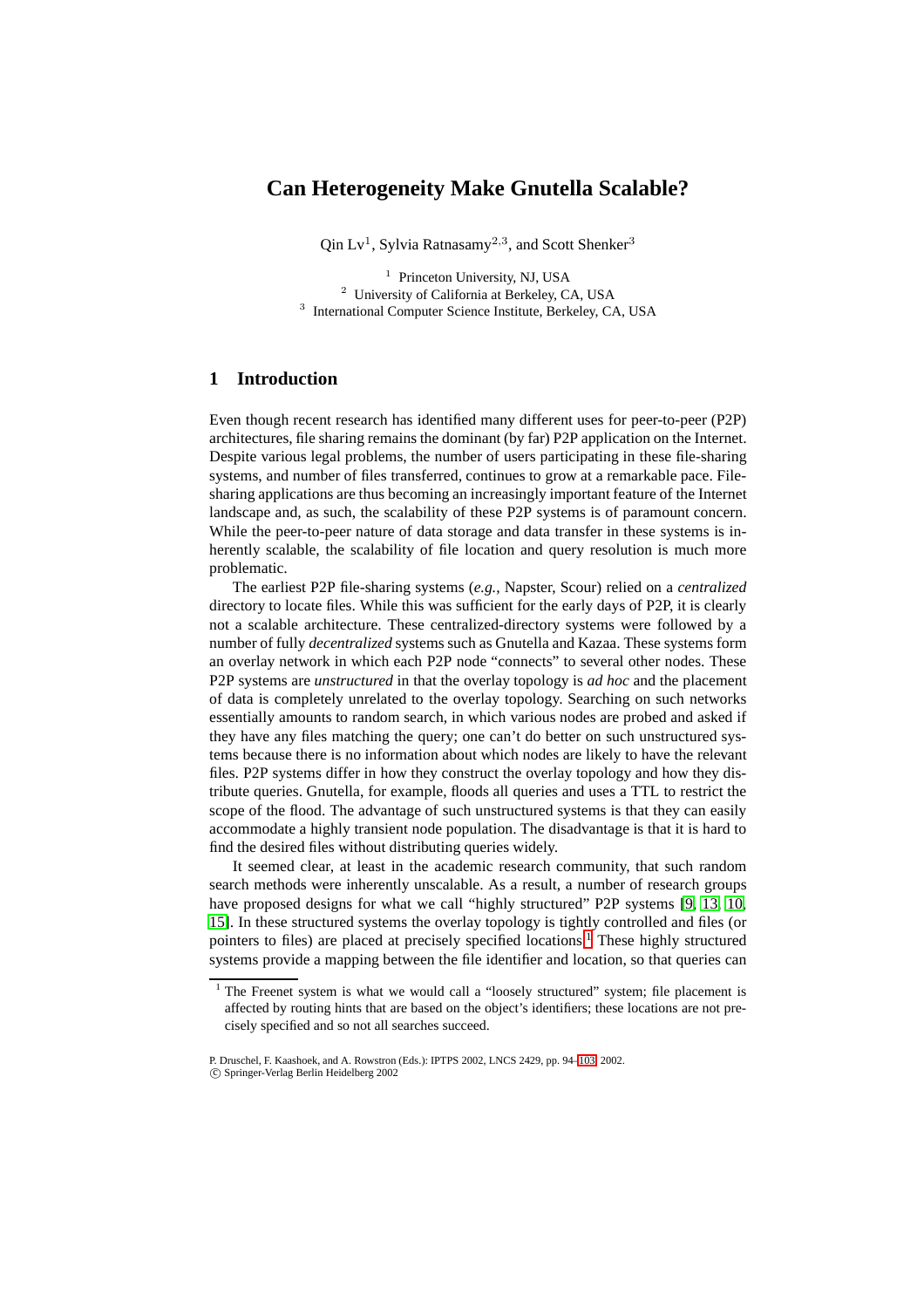# **Can Heterogeneity Make Gnutella Scalable?**

 $\text{Qin Lv}^1$ , Sylvia Ratnasamy<sup>2,3</sup>, and Scott Shenker<sup>3</sup>

<sup>1</sup> Princeton University, NJ, USA <sup>2</sup> University of California at Berkeley, CA, USA <sup>3</sup> International Computer Science Institute, Berkeley, CA, USA

# **1 Introduction**

Even though recent research has identified many different uses for peer-to-peer (P2P) architectures, file sharing remains the dominant (by far) P2P application on the Internet. Despite various legal problems, the number of users participating in these file-sharing systems, and number of files transferred, continues to grow at a remarkable pace. Filesharing applications are thus becoming an increasingly important feature of the Internet landscape and, as such, the scalability of these P2P systems is of paramount concern. While the peer-to-peer nature of data storage and data transfer in these systems is inherently scalable, the scalability of file location and query resolution is much more problematic.

The earliest P2P file-sharing systems (*e.g.*, Napster, Scour) relied on a *centralized* directory to locate files. While this was sufficient for the early days of P2P, it is clearly not a scalable architecture. These centralized-directory systems were followed by a number of fully *decentralized* systems such as Gnutella and Kazaa. These systems form an overlay network in which each P2P node "connects" to several other nodes. These P2P systems are *unstructured* in that the overlay topology is *ad hoc* and the placement of data is completely unrelated to the overlay topology. Searching on such networks essentially amounts to random search, in which various nodes are probed and asked if they have any files matching the query; one can't do better on such unstructured systems because there is no information about which nodes are likely to have the relevant files. P2P systems differ in how they construct the overlay topology and how they distribute queries. Gnutella, for example, floods all queries and uses a TTL to restrict the scope of the flood. The advantage of such unstructured systems is that they can easily accommodate a highly transient node population. The disadvantage is that it is hard to find the desired files without distributing queries widely.

It seemed clear, at least in the academic research community, that such random search methods were inherently unscalable. As a result, a number of research groups have proposed designs for what we call "highly structured" P2P systems [\[9,](#page-9-0) [13,](#page-9-1) [10,](#page-9-2) [15\]](#page-9-3). In these structured systems the overlay topology is tightly controlled and files (or pointers to files) are placed at precisely specified locations.<sup>[1](#page-0-0)</sup> These highly structured systems provide a mapping between the file identifier and location, so that queries can

<span id="page-0-0"></span><sup>1</sup> The Freenet system is what we would call a "loosely structured" system; file placement is affected by routing hints that are based on the object's identifiers; these locations are not precisely specified and so not all searches succeed.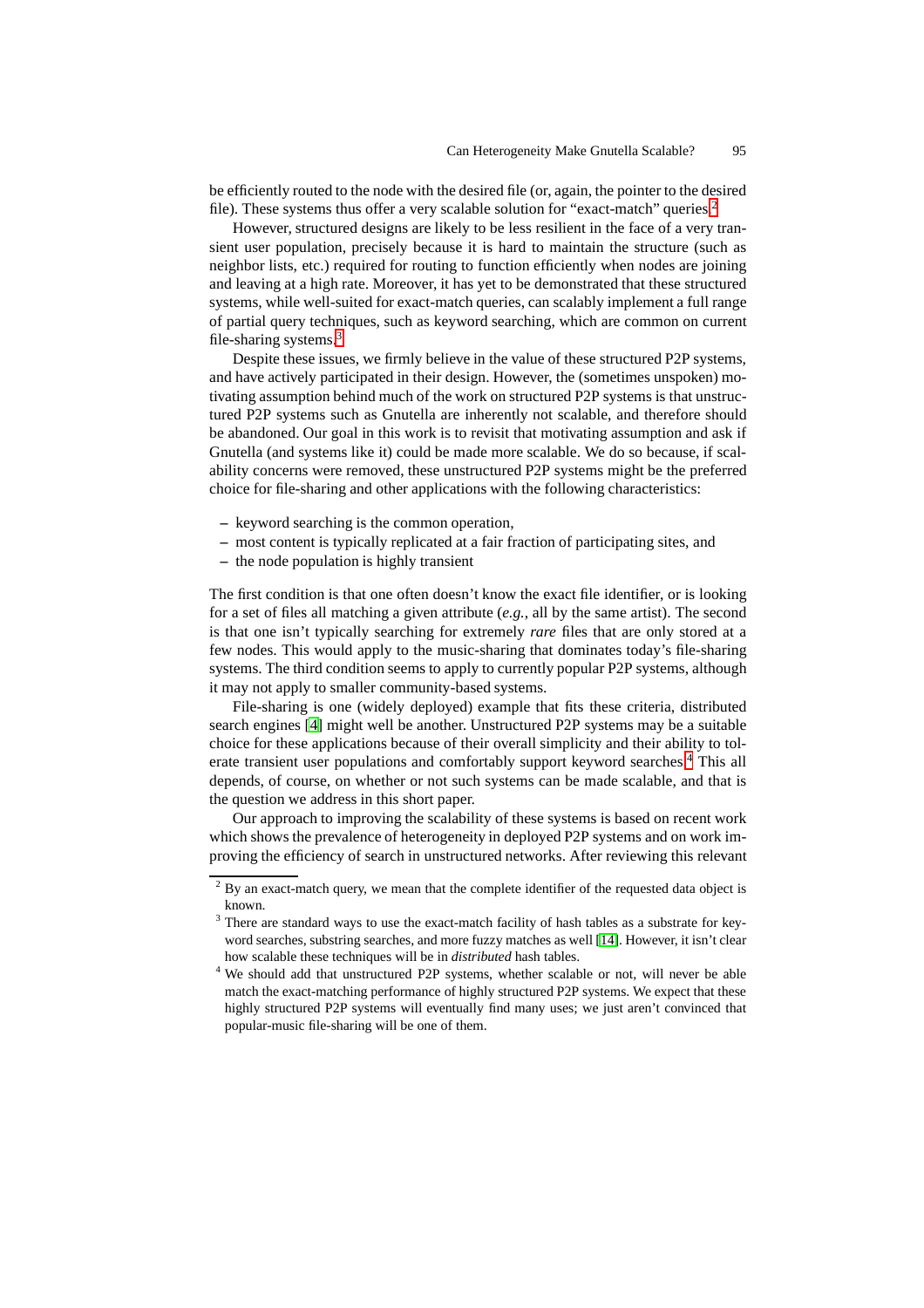be efficiently routed to the node with the desired file (or, again, the pointer to the desired file). These systems thus offer a very scalable solution for "exact-match" queries.<sup>2</sup>

However, structured designs are likely to be less resilient in the face of a very transient user population, precisely because it is hard to maintain the structure (such as neighbor lists, etc.) required for routing to function efficiently when nodes are joining and leaving at a high rate. Moreover, it has yet to be demonstrated that these structured systems, while well-suited for exact-match queries, can scalably implement a full range of partial query techniques, such as keyword searching, which are common on current file-sharing systems.<sup>3</sup>

Despite these issues, we firmly believe in the value of these structured P2P systems, and have actively participated in their design. However, the (sometimes unspoken) motivating assumption behind much of the work on structured P2P systems is that unstructured P2P systems such as Gnutella are inherently not scalable, and therefore should be abandoned. Our goal in this work is to revisit that motivating assumption and ask if Gnutella (and systems like it) could be made more scalable. We do so because, if scalability concerns were removed, these unstructured P2P systems might be the preferred choice for file-sharing and other applications with the following characteristics:

- **–** keyword searching is the common operation,
- **–** most content is typically replicated at a fair fraction of participating sites, and
- **–** the node population is highly transient

The first condition is that one often doesn't know the exact file identifier, or is looking for a set of files all matching a given attribute (*e.g.*, all by the same artist). The second is that one isn't typically searching for extremely *rare* files that are only stored at a few nodes. This would apply to the music-sharing that dominates today's file-sharing systems. The third condition seems to apply to currently popular P2P systems, although it may not apply to smaller community-based systems.

File-sharing is one (widely deployed) example that fits these criteria, distributed search engines [\[4\]](#page-9-5) might well be another. Unstructured P2P systems may be a suitable choice for these applications because of their overall simplicity and their ability to tolerate transient user populations and comfortably support keyword searches.[4](#page-1-2) This all depends, of course, on whether or not such systems can be made scalable, and that is the question we address in this short paper.

Our approach to improving the scalability of these systems is based on recent work which shows the prevalence of heterogeneity in deployed P2P systems and on work improving the efficiency of search in unstructured networks. After reviewing this relevant

<span id="page-1-0"></span> $2$  By an exact-match query, we mean that the complete identifier of the requested data object is known.

<span id="page-1-1"></span><sup>&</sup>lt;sup>3</sup> There are standard ways to use the exact-match facility of hash tables as a substrate for keyword searches, substring searches, and more fuzzy matches as well [\[14\]](#page-9-6). However, it isn't clear how scalable these techniques will be in *distributed* hash tables.

<span id="page-1-2"></span><sup>4</sup> We should add that unstructured P2P systems, whether scalable or not, will never be able match the exact-matching performance of highly structured P2P systems. We expect that these highly structured P2P systems will eventually find many uses; we just aren't convinced that popular-music file-sharing will be one of them.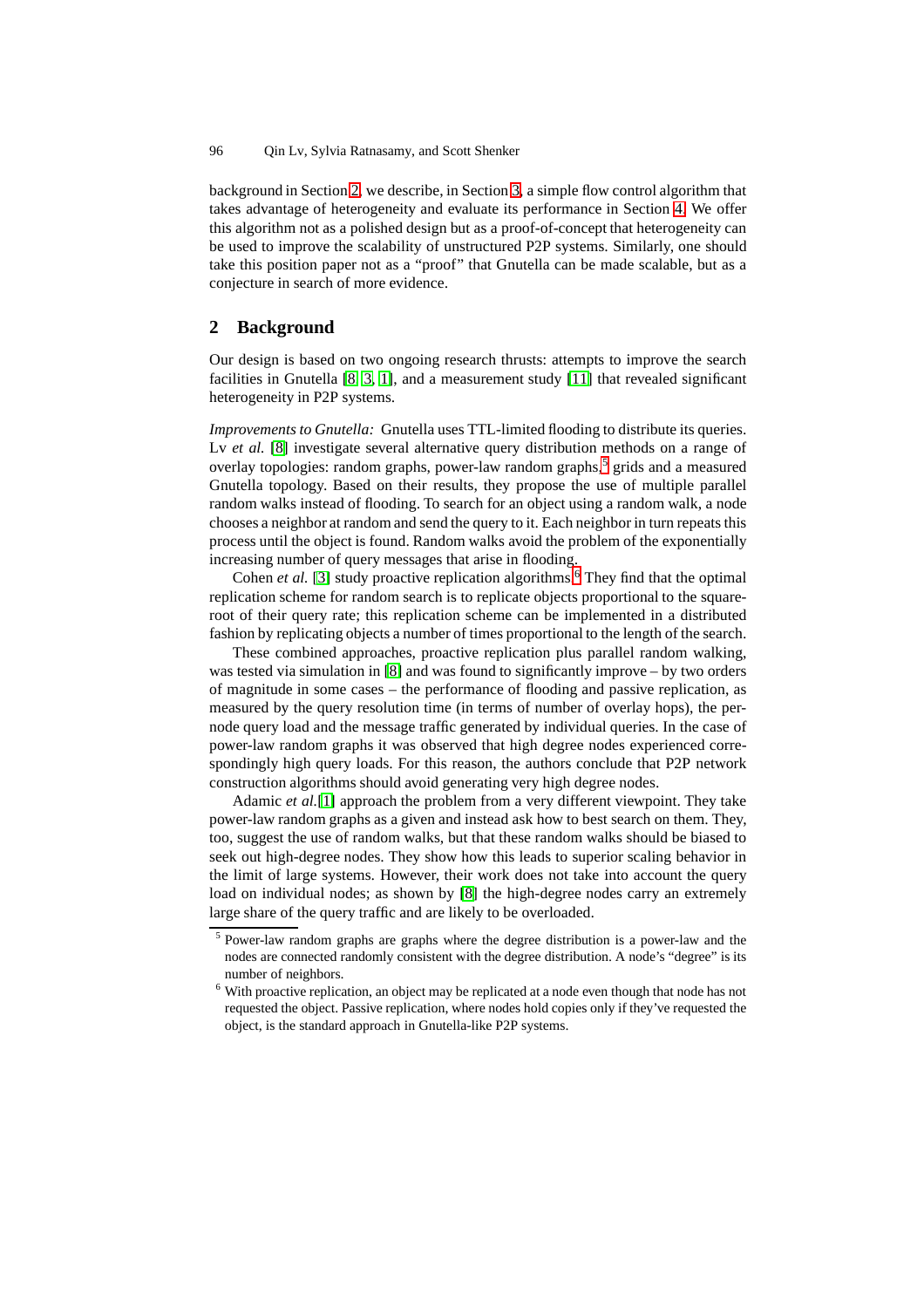background in Section [2,](#page-2-0) we describe, in Section [3,](#page-3-0) a simple flow control algorithm that takes advantage of heterogeneity and evaluate its performance in Section [4.](#page-6-0) We offer this algorithm not as a polished design but as a proof-of-concept that heterogeneity can be used to improve the scalability of unstructured P2P systems. Similarly, one should take this position paper not as a "proof" that Gnutella can be made scalable, but as a conjecture in search of more evidence.

## <span id="page-2-0"></span>**2 Background**

Our design is based on two ongoing research thrusts: attempts to improve the search facilities in Gnutella [\[8,](#page-9-7) [3,](#page-9-8) [1\]](#page-9-9), and a measurement study [\[11\]](#page-9-10) that revealed significant heterogeneity in P2P systems.

*Improvements to Gnutella:* Gnutella uses TTL-limited flooding to distribute its queries. Lv *et al.* [\[8\]](#page-9-7) investigate several alternative query distribution methods on a range of overlay topologies: random graphs, power-law random graphs,<sup>[5](#page-2-1)</sup> grids and a measured Gnutella topology. Based on their results, they propose the use of multiple parallel random walks instead of flooding. To search for an object using a random walk, a node chooses a neighbor at random and send the query to it. Each neighbor in turn repeats this process until the object is found. Random walks avoid the problem of the exponentially increasing number of query messages that arise in flooding.

Cohen *et al.* [\[3\]](#page-9-8) study proactive replication algorithms.<sup>[6](#page-2-2)</sup> They find that the optimal replication scheme for random search is to replicate objects proportional to the squareroot of their query rate; this replication scheme can be implemented in a distributed fashion by replicating objects a number of times proportional to the length of the search.

These combined approaches, proactive replication plus parallel random walking, was tested via simulation in [\[8\]](#page-9-7) and was found to significantly improve – by two orders of magnitude in some cases – the performance of flooding and passive replication, as measured by the query resolution time (in terms of number of overlay hops), the pernode query load and the message traffic generated by individual queries. In the case of power-law random graphs it was observed that high degree nodes experienced correspondingly high query loads. For this reason, the authors conclude that P2P network construction algorithms should avoid generating very high degree nodes.

Adamic *et al.*[\[1\]](#page-9-9) approach the problem from a very different viewpoint. They take power-law random graphs as a given and instead ask how to best search on them. They, too, suggest the use of random walks, but that these random walks should be biased to seek out high-degree nodes. They show how this leads to superior scaling behavior in the limit of large systems. However, their work does not take into account the query load on individual nodes; as shown by [\[8\]](#page-9-7) the high-degree nodes carry an extremely large share of the query traffic and are likely to be overloaded.

<span id="page-2-1"></span><sup>5</sup> Power-law random graphs are graphs where the degree distribution is a power-law and the nodes are connected randomly consistent with the degree distribution. A node's "degree" is its number of neighbors.

<span id="page-2-2"></span> $6$  With proactive replication, an object may be replicated at a node even though that node has not requested the object. Passive replication, where nodes hold copies only if they've requested the object, is the standard approach in Gnutella-like P2P systems.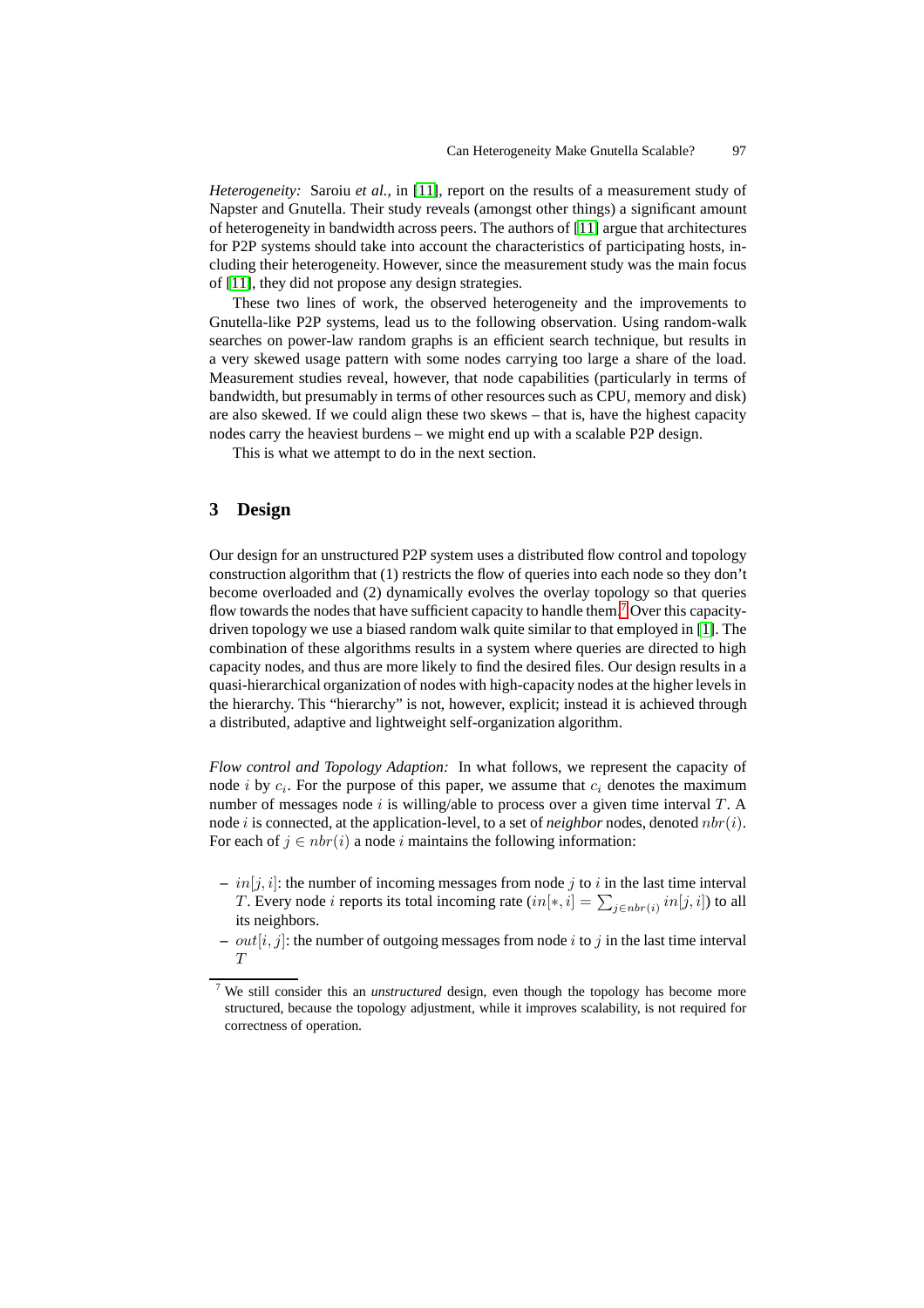*Heterogeneity:* Saroiu *et al.*, in [\[11\]](#page-9-10), report on the results of a measurement study of Napster and Gnutella. Their study reveals (amongst other things) a significant amount of heterogeneity in bandwidth across peers. The authors of [\[11\]](#page-9-10) argue that architectures for P2P systems should take into account the characteristics of participating hosts, including their heterogeneity. However, since the measurement study was the main focus of [\[11\]](#page-9-10), they did not propose any design strategies.

These two lines of work, the observed heterogeneity and the improvements to Gnutella-like P2P systems, lead us to the following observation. Using random-walk searches on power-law random graphs is an efficient search technique, but results in a very skewed usage pattern with some nodes carrying too large a share of the load. Measurement studies reveal, however, that node capabilities (particularly in terms of bandwidth, but presumably in terms of other resources such as CPU, memory and disk) are also skewed. If we could align these two skews – that is, have the highest capacity nodes carry the heaviest burdens – we might end up with a scalable P2P design.

This is what we attempt to do in the next section.

### <span id="page-3-0"></span>**3 Design**

Our design for an unstructured P2P system uses a distributed flow control and topology construction algorithm that (1) restricts the flow of queries into each node so they don't become overloaded and (2) dynamically evolves the overlay topology so that queries flow towards the nodes that have sufficient capacity to handle them.<sup>7</sup> Over this capacitydriven topology we use a biased random walk quite similar to that employed in [\[1\]](#page-9-9). The combination of these algorithms results in a system where queries are directed to high capacity nodes, and thus are more likely to find the desired files. Our design results in a quasi-hierarchical organization of nodes with high-capacity nodes at the higher levels in the hierarchy. This "hierarchy" is not, however, explicit; instead it is achieved through a distributed, adaptive and lightweight self-organization algorithm.

*Flow control and Topology Adaption:* In what follows, we represent the capacity of node i by  $c_i$ . For the purpose of this paper, we assume that  $c_i$  denotes the maximum number of messages node  $i$  is willing/able to process over a given time interval  $T$ . A node i is connected, at the application-level, to a set of *neighbor* nodes, denoted  $nbr(i)$ . For each of  $j \in nbr(i)$  a node i maintains the following information:

- $-$  in  $[j, i]$ : the number of incoming messages from node j to i in the last time interval T. Every node *i* reports its total incoming rate  $(in[*, i] = \sum_{j \in nbr(i)} in[j, i])$  to all its neighbors.
- $-$  *out*[*i*, *j*]: the number of outgoing messages from node *i* to *j* in the last time interval T

<span id="page-3-1"></span><sup>7</sup> We still consider this an *unstructured* design, even though the topology has become more structured, because the topology adjustment, while it improves scalability, is not required for correctness of operation.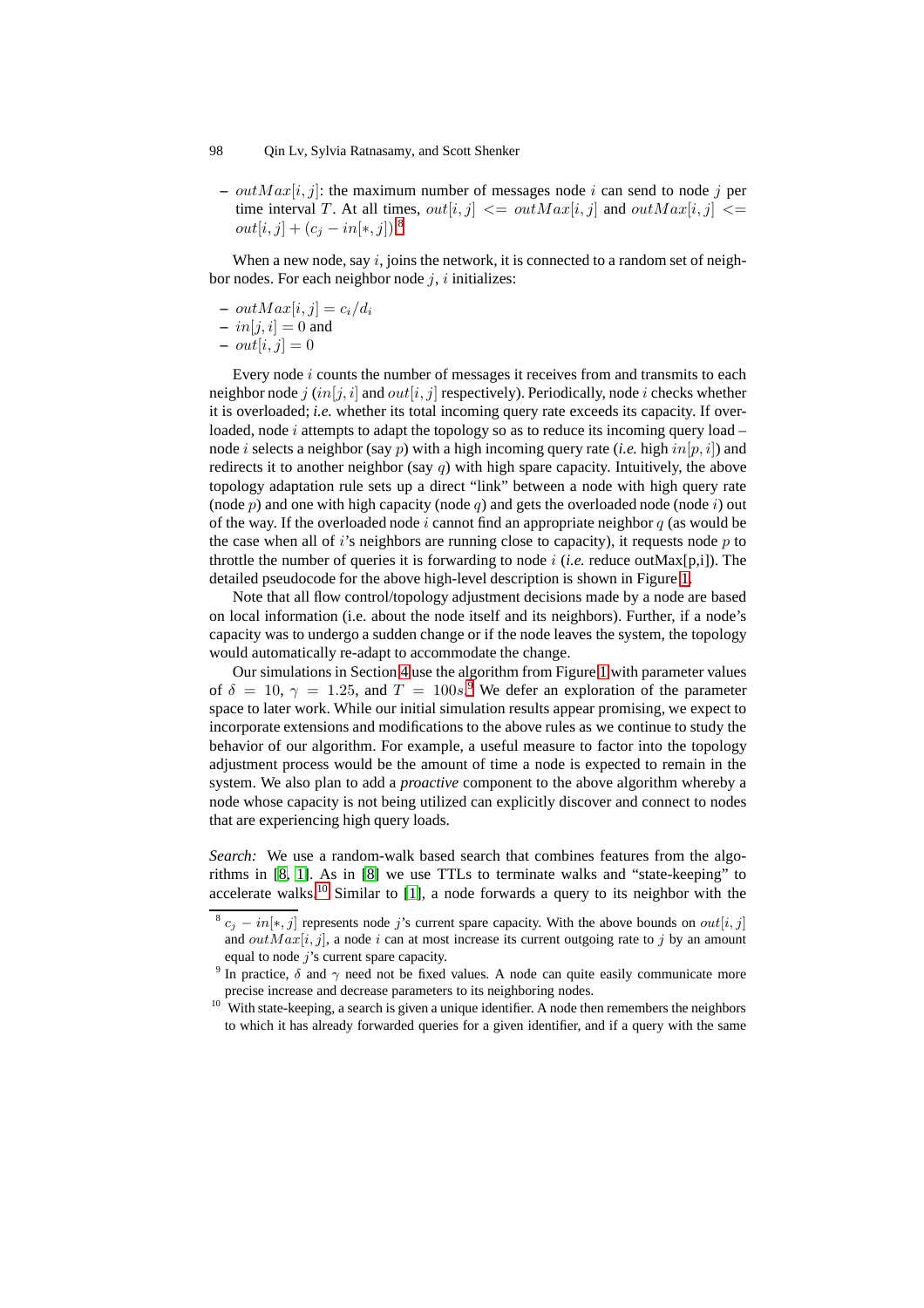$-$  *out Max*[i, j]: the maximum number of messages node i can send to node j per time interval T. At all times,  $out[i, j] \le = outMax[i, j]$  and  $outMax[i, j] \le =$  $out[i, j] + (c_j - in[*, j]).<sup>8</sup>$  $out[i, j] + (c_j - in[*, j]).<sup>8</sup>$  $out[i, j] + (c_j - in[*, j]).<sup>8</sup>$ 

When a new node, say  $i$ , joins the network, it is connected to a random set of neighbor nodes. For each neighbor node  $i$ ,  $i$  initializes:

- $-$  *outMax*[*i*, *j*] =  $c_i/d_i$
- $-$  in[j, i] = 0 and
- $-$  *out*[*i*, *j*] = 0

Every node  $i$  counts the number of messages it receives from and transmits to each neighbor node j  $(in[j, i]$  and  $out[i, j]$  respectively). Periodically, node i checks whether it is overloaded; *i.e.* whether its total incoming query rate exceeds its capacity. If overloaded, node  $i$  attempts to adapt the topology so as to reduce its incoming query load – node *i* selects a neighbor (say *p*) with a high incoming query rate (*i.e.* high  $in[p, i]$ ) and redirects it to another neighbor (say q) with high spare capacity. Intuitively, the above topology adaptation rule sets up a direct "link" between a node with high query rate (node p) and one with high capacity (node q) and gets the overloaded node (node  $i$ ) out of the way. If the overloaded node  $i$  cannot find an appropriate neighbor  $q$  (as would be the case when all of  $i$ 's neighbors are running close to capacity), it requests node  $p$  to throttle the number of queries it is forwarding to node  $i$  (*i.e.* reduce outMax[p,i]). The detailed pseudocode for the above high-level description is shown in Figure [1.](#page-5-0)

Note that all flow control/topology adjustment decisions made by a node are based on local information (i.e. about the node itself and its neighbors). Further, if a node's capacity was to undergo a sudden change or if the node leaves the system, the topology would automatically re-adapt to accommodate the change.

Our simulations in Section [4](#page-6-0) use the algorithm from Figure [1](#page-5-0) with parameter values of  $\delta = 10, \gamma = 1.25$ , and  $T = 100s$ .<sup>[9](#page-4-1)</sup> We defer an exploration of the parameter space to later work. While our initial simulation results appear promising, we expect to incorporate extensions and modifications to the above rules as we continue to study the behavior of our algorithm. For example, a useful measure to factor into the topology adjustment process would be the amount of time a node is expected to remain in the system. We also plan to add a *proactive* component to the above algorithm whereby a node whose capacity is not being utilized can explicitly discover and connect to nodes that are experiencing high query loads.

*Search:* We use a random-walk based search that combines features from the algorithms in [\[8,](#page-9-7) [1\]](#page-9-9). As in [\[8\]](#page-9-7) we use TTLs to terminate walks and "state-keeping" to accelerate walks[.10](#page-4-2) Similar to [\[1\]](#page-9-9), a node forwards a query to its neighbor with the

<span id="page-4-0"></span> $c_j - in[*, j]$  represents node j's current spare capacity. With the above bounds on  $out[i, j]$ and  $outMax[i, j]$ , a node i can at most increase its current outgoing rate to j by an amount equal to node  $j$ 's current spare capacity.

<sup>&</sup>lt;sup>9</sup> In practice,  $\delta$  and  $\gamma$  need not be fixed values. A node can quite easily communicate more precise increase and decrease parameters to its neighboring nodes.

<span id="page-4-2"></span><span id="page-4-1"></span> $10<sup>10</sup>$  With state-keeping, a search is given a unique identifier. A node then remembers the neighbors to which it has already forwarded queries for a given identifier, and if a query with the same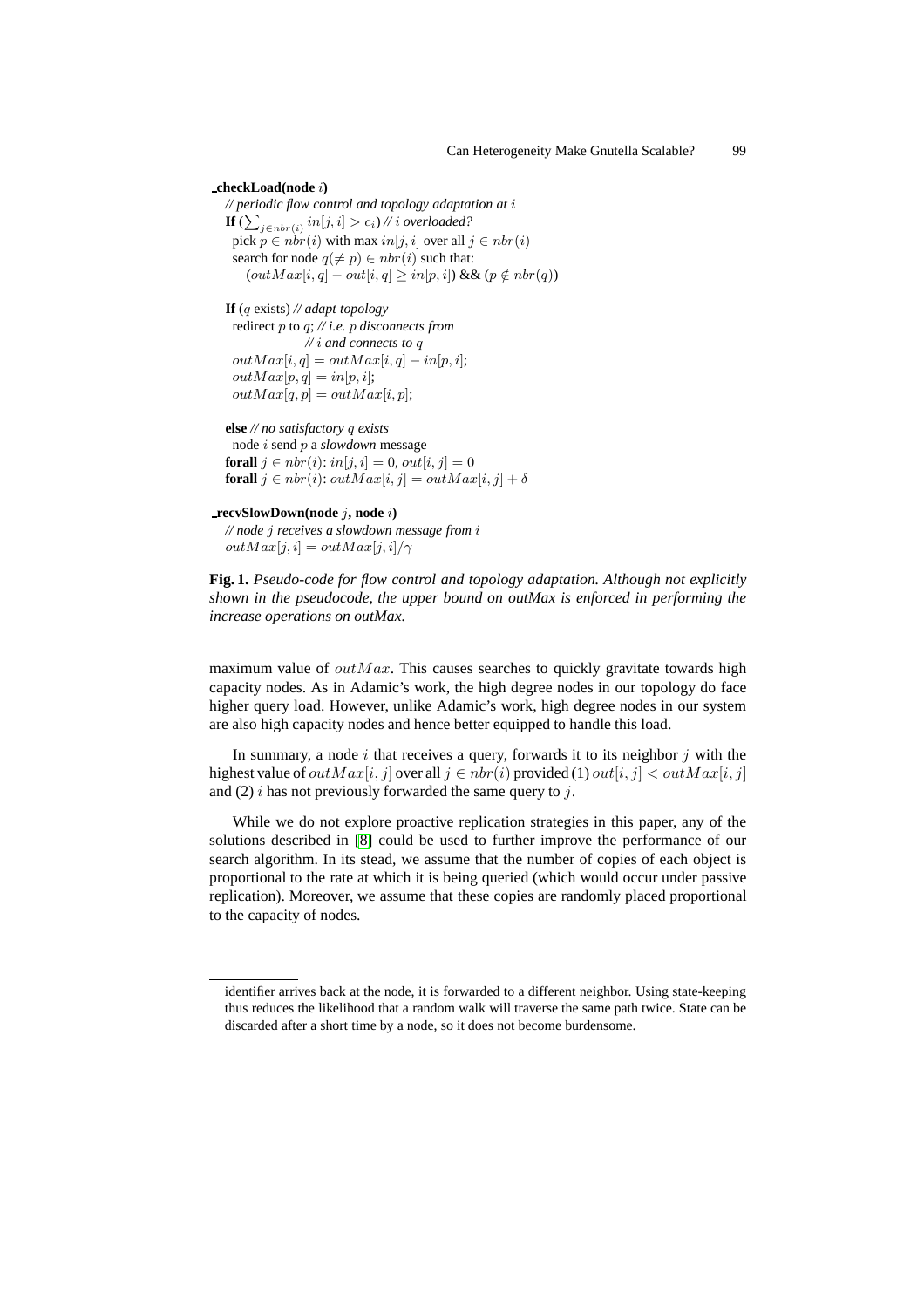# **checkLoad(node** i**)** *// periodic flow control and topology adaptation at* i **If**  $(\sum_{j \in nbr(i)} in[j, i] > c_i)$  // i overloaded? pick  $p \in nbr(i)$  with max  $in[i, i]$  over all  $i \in nbr(i)$ search for node  $q(\neq p) \in nbr(i)$  such that:  $(outMax[i, q] - out[i, q] \geq in[p, i])$  &&  $(p \notin nbr(q))$

```
If (q exists) // adapt topology
redirect p to q; // i.e. p disconnects from
            // i and connects to q
outMax[i, q] = outMax[i, q] - in[p, i];outMax[p, q] = in[p, i];outMax[q, p] = outMax[i, p];
```
**else** *// no satisfactory* q *exists* node i send p a *slowdown* message **forall**  $j \in nbr(i)$ :  $in[j, i] = 0, out[i, j] = 0$ **forall**  $j \in \text{nbr}(i)$ :  $\text{outMax}[i, j] = \text{outMax}[i, j] + \delta$ 

#### **recvSlowDown(node** j**, node** i**)**

*// node* j *receives a slowdown message from* i  $outMax[j, i] = outMax[j, i]/\gamma$ 

<span id="page-5-0"></span>**Fig. 1.** *Pseudo-code for flow control and topology adaptation. Although not explicitly shown in the pseudocode, the upper bound on outMax is enforced in performing the increase operations on outMax.*

maximum value of  $outMax$ . This causes searches to quickly gravitate towards high capacity nodes. As in Adamic's work, the high degree nodes in our topology do face higher query load. However, unlike Adamic's work, high degree nodes in our system are also high capacity nodes and hence better equipped to handle this load.

In summary, a node  $i$  that receives a query, forwards it to its neighbor  $j$  with the highest value of  $outMax[i, j]$  over all  $j \in nbr(i)$  provided (1)  $out[i, j] < outMax[i, j]$ and (2) i has not previously forwarded the same query to j.

While we do not explore proactive replication strategies in this paper, any of the solutions described in [\[8\]](#page-9-7) could be used to further improve the performance of our search algorithm. In its stead, we assume that the number of copies of each object is proportional to the rate at which it is being queried (which would occur under passive replication). Moreover, we assume that these copies are randomly placed proportional to the capacity of nodes.

identifier arrives back at the node, it is forwarded to a different neighbor. Using state-keeping thus reduces the likelihood that a random walk will traverse the same path twice. State can be discarded after a short time by a node, so it does not become burdensome.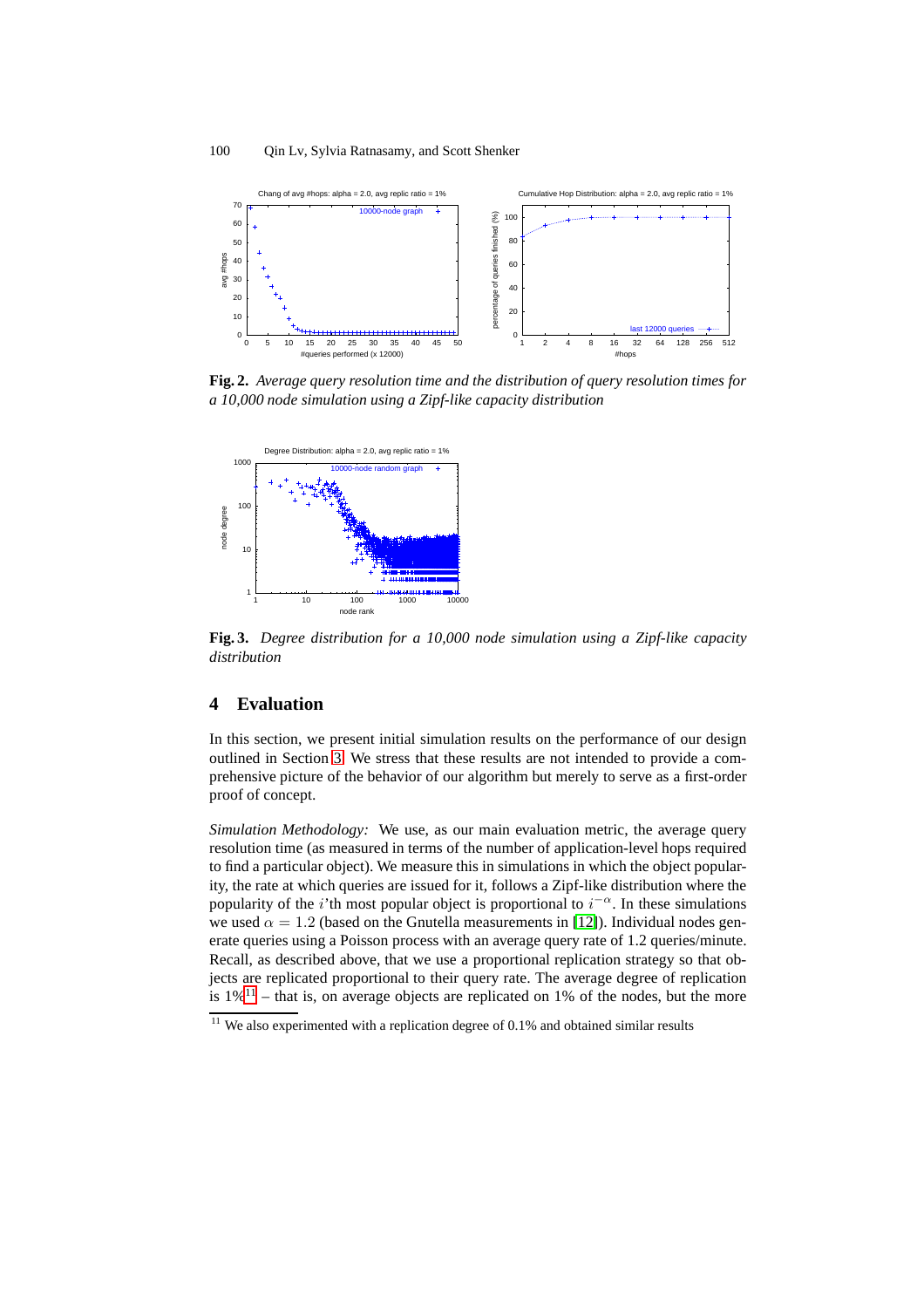

**Fig. 2.** *Average query resolution time and the distribution of query resolution times for a 10,000 node simulation using a Zipf-like capacity distribution*



<span id="page-6-2"></span>**Fig. 3.** *Degree distribution for a 10,000 node simulation using a Zipf-like capacity distribution*

## <span id="page-6-0"></span>**4 Evaluation**

In this section, we present initial simulation results on the performance of our design outlined in Section [3.](#page-3-0) We stress that these results are not intended to provide a comprehensive picture of the behavior of our algorithm but merely to serve as a first-order proof of concept.

*Simulation Methodology:* We use, as our main evaluation metric, the average query resolution time (as measured in terms of the number of application-level hops required to find a particular object). We measure this in simulations in which the object popularity, the rate at which queries are issued for it, follows a Zipf-like distribution where the popularity of the *i*'th most popular object is proportional to  $i^{-\alpha}$ . In these simulations we used  $\alpha = 1.2$  (based on the Gnutella measurements in [\[12\]](#page-9-11)). Individual nodes generate queries using a Poisson process with an average query rate of 1.2 queries/minute. Recall, as described above, that we use a proportional replication strategy so that objects are replicated proportional to their query rate. The average degree of replication is  $1\%$ <sup>11</sup> – that is, on average objects are replicated on 1% of the nodes, but the more

<span id="page-6-1"></span> $11$  We also experimented with a replication degree of 0.1% and obtained similar results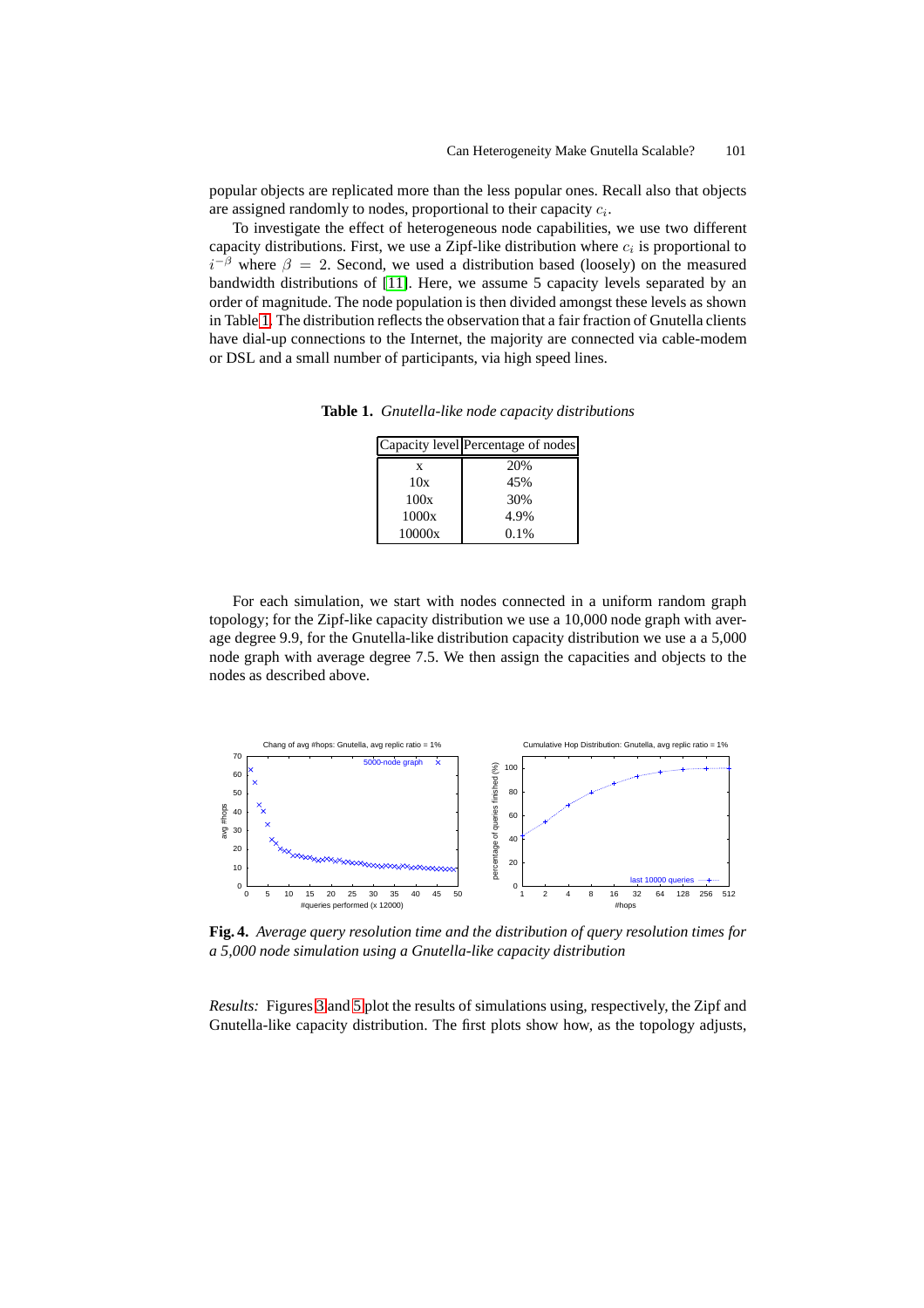popular objects are replicated more than the less popular ones. Recall also that objects are assigned randomly to nodes, proportional to their capacity  $c_i$ .

To investigate the effect of heterogeneous node capabilities, we use two different capacity distributions. First, we use a Zipf-like distribution where  $c_i$  is proportional to  $i^{-\beta}$  where  $\beta = 2$ . Second, we used a distribution based (loosely) on the measured bandwidth distributions of [\[11\]](#page-9-10). Here, we assume 5 capacity levels separated by an order of magnitude. The node population is then divided amongst these levels as shown in Table [1.](#page-7-0) The distribution reflects the observation that a fair fraction of Gnutella clients have dial-up connections to the Internet, the majority are connected via cable-modem or DSL and a small number of participants, via high speed lines.

|        | Capacity level Percentage of nodes |
|--------|------------------------------------|
| X      | 20%                                |
| 10x    | 45%                                |
| 100x   | 30%                                |
| 1000x  | 4.9%                               |
| 10000x | $0.1\%$                            |

<span id="page-7-0"></span>**Table 1.** *Gnutella-like node capacity distributions*

For each simulation, we start with nodes connected in a uniform random graph topology; for the Zipf-like capacity distribution we use a 10,000 node graph with average degree 9.9, for the Gnutella-like distribution capacity distribution we use a a 5,000 node graph with average degree 7.5. We then assign the capacities and objects to the nodes as described above.



**Fig. 4.** *Average query resolution time and the distribution of query resolution times for a 5,000 node simulation using a Gnutella-like capacity distribution*

*Results:* Figures [3](#page-6-2) and [5](#page-8-0) plot the results of simulations using, respectively, the Zipf and Gnutella-like capacity distribution. The first plots show how, as the topology adjusts,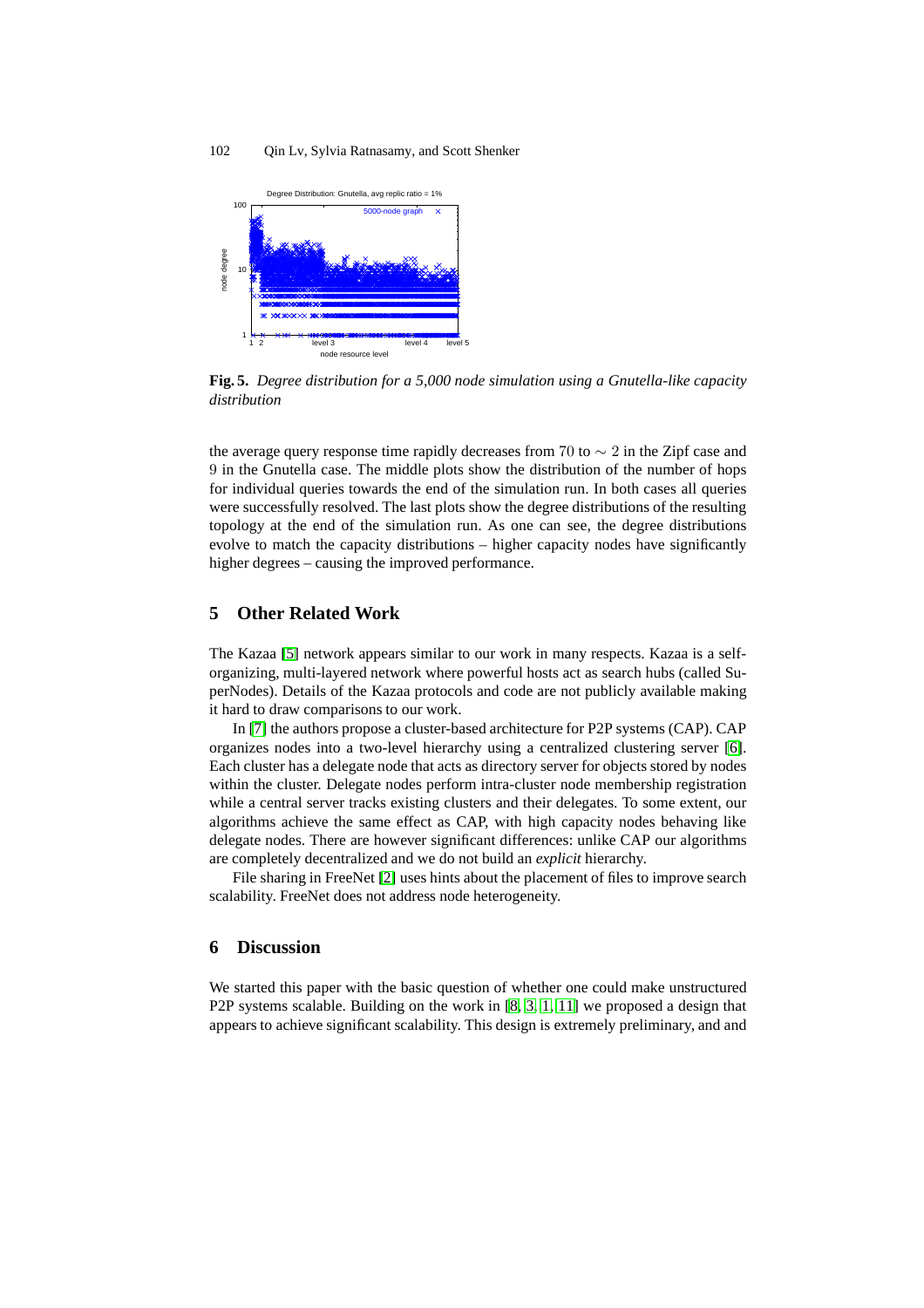

<span id="page-8-0"></span>**Fig. 5.** *Degree distribution for a 5,000 node simulation using a Gnutella-like capacity distribution*

the average query response time rapidly decreases from 70 to  $\sim$  2 in the Zipf case and 9 in the Gnutella case. The middle plots show the distribution of the number of hops for individual queries towards the end of the simulation run. In both cases all queries were successfully resolved. The last plots show the degree distributions of the resulting topology at the end of the simulation run. As one can see, the degree distributions evolve to match the capacity distributions – higher capacity nodes have significantly higher degrees – causing the improved performance.

## **5 Other Related Work**

The Kazaa [\[5\]](#page-9-12) network appears similar to our work in many respects. Kazaa is a selforganizing, multi-layered network where powerful hosts act as search hubs (called SuperNodes). Details of the Kazaa protocols and code are not publicly available making it hard to draw comparisons to our work.

In [\[7\]](#page-9-13) the authors propose a cluster-based architecture for P2P systems (CAP). CAP organizes nodes into a two-level hierarchy using a centralized clustering server [\[6\]](#page-9-14). Each cluster has a delegate node that acts as directory server for objects stored by nodes within the cluster. Delegate nodes perform intra-cluster node membership registration while a central server tracks existing clusters and their delegates. To some extent, our algorithms achieve the same effect as CAP, with high capacity nodes behaving like delegate nodes. There are however significant differences: unlike CAP our algorithms are completely decentralized and we do not build an *explicit* hierarchy.

File sharing in FreeNet [\[2\]](#page-9-15) uses hints about the placement of files to improve search scalability. FreeNet does not address node heterogeneity.

## **6 Discussion**

We started this paper with the basic question of whether one could make unstructured P2P systems scalable. Building on the work in [\[8,](#page-9-7) [3,](#page-9-8) [1,](#page-9-9) [11\]](#page-9-10) we proposed a design that appears to achieve significant scalability. This design is extremely preliminary, and and